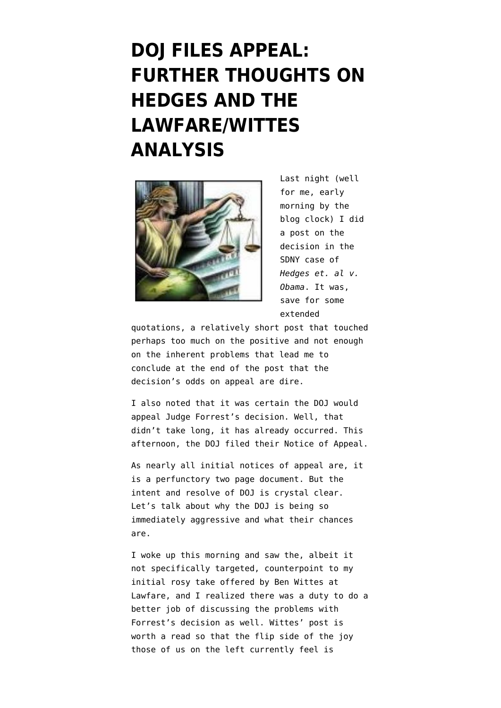## **[DOJ FILES APPEAL:](https://www.emptywheel.net/2012/09/13/doj-files-appeal-further-thoughts-on-hedges-and-the-lawfarewittes-analysis/) [FURTHER THOUGHTS ON](https://www.emptywheel.net/2012/09/13/doj-files-appeal-further-thoughts-on-hedges-and-the-lawfarewittes-analysis/) [HEDGES AND THE](https://www.emptywheel.net/2012/09/13/doj-files-appeal-further-thoughts-on-hedges-and-the-lawfarewittes-analysis/) [LAWFARE/WITTES](https://www.emptywheel.net/2012/09/13/doj-files-appeal-further-thoughts-on-hedges-and-the-lawfarewittes-analysis/) [ANALYSIS](https://www.emptywheel.net/2012/09/13/doj-files-appeal-further-thoughts-on-hedges-and-the-lawfarewittes-analysis/)**



Last night (well for me, early morning by the blog clock) I did a post on [the](http://www.emptywheel.net/wp-content/uploads/2012/09/12-Civ.-00331-2012.09.12-Permanent-Injunction.pdf) [decision](http://www.emptywheel.net/wp-content/uploads/2012/09/12-Civ.-00331-2012.09.12-Permanent-Injunction.pdf) in the SDNY case of *Hedges et. al v. Obama*. It was, save for some extended

quotations, a relatively short post that touched perhaps too much on the positive and not enough on the inherent problems that lead me to conclude at the end of the post that the decision's odds on appeal are dire.

I also noted that it was certain the DOJ would appeal Judge Forrest's decision. Well, that didn't take long, it has already occurred. This afternoon, the [DOJ filed their Notice of Appeal.](http://www.emptywheel.net/wp-content/uploads/2012/09/HedgesDoc62.pdf)

As nearly all initial notices of appeal are, it is a perfunctory two page document. But the intent and resolve of DOJ is crystal clear. Let's talk about why the DOJ is being so immediately aggressive and what their chances are.

I woke up this morning and saw the, albeit it not specifically targeted, counterpoint to my initial rosy take offered by [Ben Wittes at](http://www.lawfareblog.com/2012/09/initial-thoughts-on-hedges/?utm_source=twitterfeed&utm_medium=twitter) [Lawfare,](http://www.lawfareblog.com/2012/09/initial-thoughts-on-hedges/?utm_source=twitterfeed&utm_medium=twitter) and I realized there was a duty to do a better job of discussing the problems with Forrest's decision as well. Wittes' post is worth a read so that the flip side of the joy those of us on the left currently feel is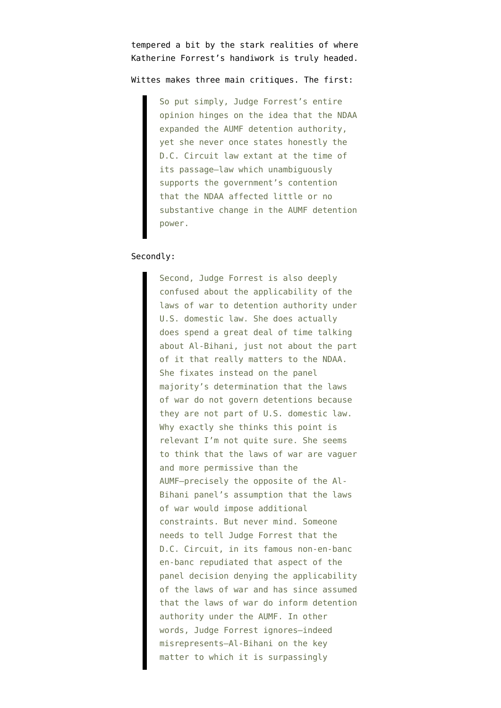tempered a bit by the stark realities of where Katherine Forrest's handiwork is truly headed.

Wittes makes three main critiques. The first:

So put simply, Judge Forrest's entire opinion hinges on the idea that the NDAA expanded the AUMF detention authority, yet she never once states honestly the D.C. Circuit law extant at the time of its passage—law which unambiguously supports the government's contention that the NDAA affected little or no substantive change in the AUMF detention power.

## Secondly:

Second, Judge Forrest is also deeply confused about the applicability of the laws of war to detention authority under U.S. domestic law. She does actually does spend a great deal of time talking about Al-Bihani, just not about the part of it that really matters to the NDAA. She fixates instead on the panel majority's determination that the laws of war do not govern detentions because they are not part of U.S. domestic law. Why exactly she thinks this point is relevant I'm not quite sure. She seems to think that the laws of war are vaguer and more permissive than the AUMF—precisely the opposite of the Al-Bihani panel's assumption that the laws of war would impose additional constraints. But never mind. Someone needs to tell Judge Forrest that the D.C. Circuit, in its famous non-en-banc en-banc repudiated that aspect of the panel decision denying the applicability of the laws of war and has since assumed that the laws of war do inform detention authority under the AUMF. In other words, Judge Forrest ignores—indeed misrepresents—Al-Bihani on the key matter to which it is surpassingly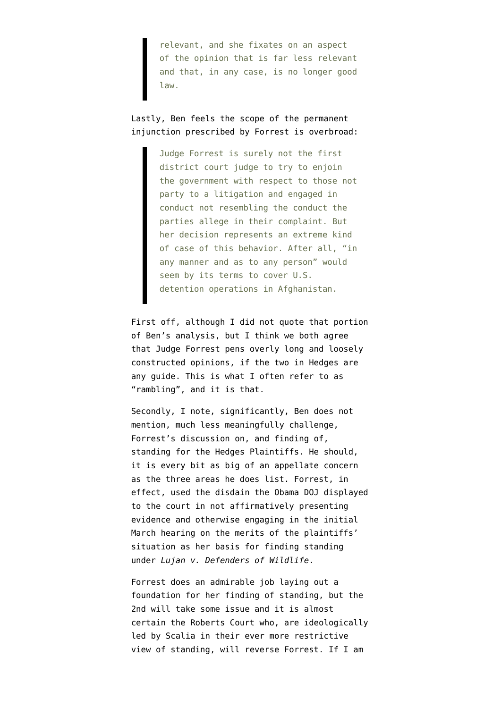relevant, and she fixates on an aspect of the opinion that is far less relevant and that, in any case, is no longer good law.

Lastly, Ben feels the scope of the permanent injunction prescribed by Forrest is overbroad:

> Judge Forrest is surely not the first district court judge to try to enjoin the government with respect to those not party to a litigation and engaged in conduct not resembling the conduct the parties allege in their complaint. But her decision represents an extreme kind of case of this behavior. After all, "in any manner and as to any person" would seem by its terms to cover U.S. detention operations in Afghanistan.

First off, although I did not quote that portion of Ben's analysis, but I think we both agree that Judge Forrest pens overly long and loosely constructed opinions, if the two in Hedges are any guide. This is what I often refer to as "rambling", and it is that.

Secondly, I note, significantly, Ben does not mention, much less meaningfully challenge, Forrest's discussion on, and finding of, standing for the Hedges Plaintiffs. He should, it is every bit as big of an appellate concern as the three areas he does list. Forrest, in effect, used the disdain the Obama DOJ displayed to the court in not affirmatively presenting evidence and otherwise engaging in the initial March hearing on the merits of the plaintiffs' situation as her basis for finding standing under *Lujan v. Defenders of Wildlife*.

Forrest does an admirable job laying out a foundation for her finding of standing, but the 2nd will take some issue and it is almost certain the Roberts Court who, are ideologically led by Scalia in their ever more restrictive view of standing, will reverse Forrest. If I am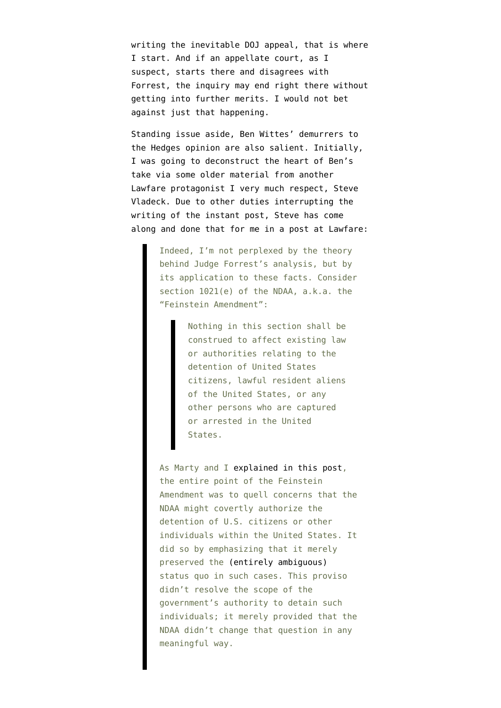writing the inevitable DOJ appeal, that is where I start. And if an appellate court, as I suspect, starts there and disagrees with Forrest, the inquiry may end right there without getting into further merits. I would not bet against just that happening.

Standing issue aside, Ben Wittes' demurrers to the Hedges opinion are also salient. Initially, I was going to deconstruct the heart of Ben's take via some older material from another Lawfare protagonist I very much respect, Steve Vladeck. Due to other duties interrupting the writing of the instant post, Steve has [come](http://www.lawfareblog.com/2012/09/hedges-and-the-feinstein-amendment/) [along and done that for me in a post at Lawfare:](http://www.lawfareblog.com/2012/09/hedges-and-the-feinstein-amendment/)

> Indeed, I'm not perplexed by the theory behind Judge Forrest's analysis, but by its application to these facts. Consider section 1021(e) of the NDAA, a.k.a. the "Feinstein Amendment":

> > Nothing in this section shall be construed to affect existing law or authorities relating to the detention of United States citizens, lawful resident aliens of the United States, or any other persons who are captured or arrested in the United States.

As Marty and I [explained in this post,](http://www.lawfareblog.com/2011/12/the-ndaa-the-good-the-bad-and-the-laws-of-war-part-i/) the entire point of the Feinstein Amendment was to quell concerns that the NDAA might covertly authorize the detention of U.S. citizens or other individuals within the United States. It did so by emphasizing that it merely preserved the [\(entirely ambiguous\)](http://www.lawfareblog.com/2011/12/the-problematic-ndaa-on-clear-statements-and-non-battlefield-detention/) status quo in such cases. This proviso didn't resolve the scope of the government's authority to detain such individuals; it merely provided that the NDAA didn't change that question in any meaningful way.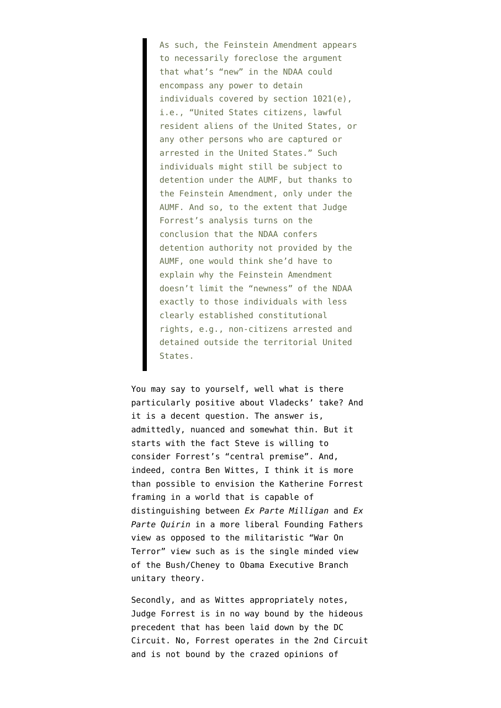As such, the Feinstein Amendment appears to necessarily foreclose the argument that what's "new" in the NDAA could encompass any power to detain individuals covered by section 1021(e), i.e., "United States citizens, lawful resident aliens of the United States, or any other persons who are captured or arrested in the United States." Such individuals might still be subject to detention under the AUMF, but thanks to the Feinstein Amendment, only under the AUMF. And so, to the extent that Judge Forrest's analysis turns on the conclusion that the NDAA confers detention authority not provided by the AUMF, one would think she'd have to explain why the Feinstein Amendment doesn't limit the "newness" of the NDAA exactly to those individuals with less clearly established constitutional rights, e.g., non-citizens arrested and detained outside the territorial United States.

You may say to yourself, well what is there particularly positive about Vladecks' take? And it is a decent question. The answer is, admittedly, nuanced and somewhat thin. But it starts with the fact Steve is willing to consider Forrest's "central premise". And, indeed, contra Ben Wittes, I think it is more than possible to envision the Katherine Forrest framing in a world that is capable of distinguishing between *Ex Parte Milligan* and *Ex Parte Quirin* in a more liberal Founding Fathers view as opposed to the militaristic "War On Terror" view such as is the single minded view of the Bush/Cheney to Obama Executive Branch unitary theory.

Secondly, and as Wittes appropriately notes, Judge Forrest is in no way bound by the hideous precedent that has been laid down by the DC Circuit. No, Forrest operates in the 2nd Circuit and is not bound by the crazed opinions of